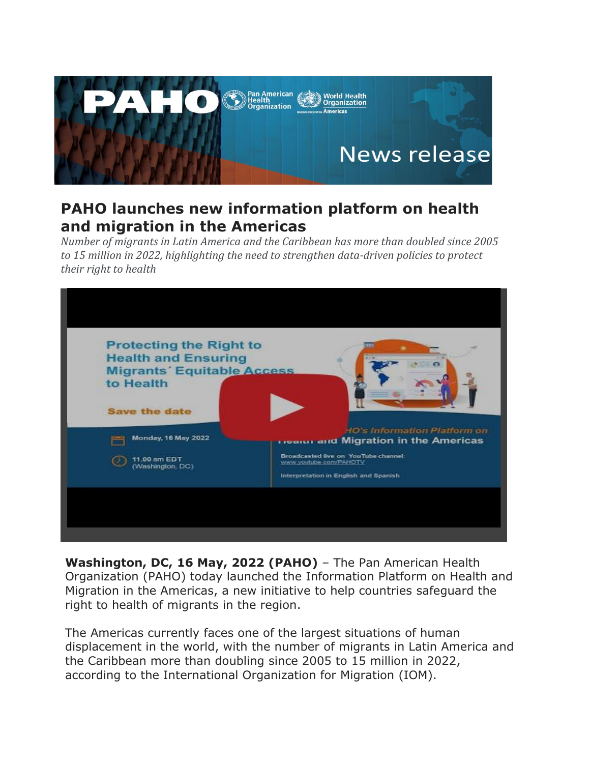

## **PAHO launches new information platform on health and migration in the Americas**

*Number of migrants in Latin America and the Caribbean has more than doubled since 2005 to 15 million in 2022, highlighting the need to strengthen data-driven policies to protect their right to health*



**Washington, DC, 16 May, 2022 (PAHO)** – The Pan American Health Organization (PAHO) today launched the Information Platform on Health and Migration in the Americas, a new initiative to help countries safeguard the right to health of migrants in the region.

The Americas currently faces one of the largest situations of human displacement in the world, with the number of migrants in Latin America and the Caribbean more than doubling since 2005 to 15 million in 2022, according to the International Organization for Migration (IOM).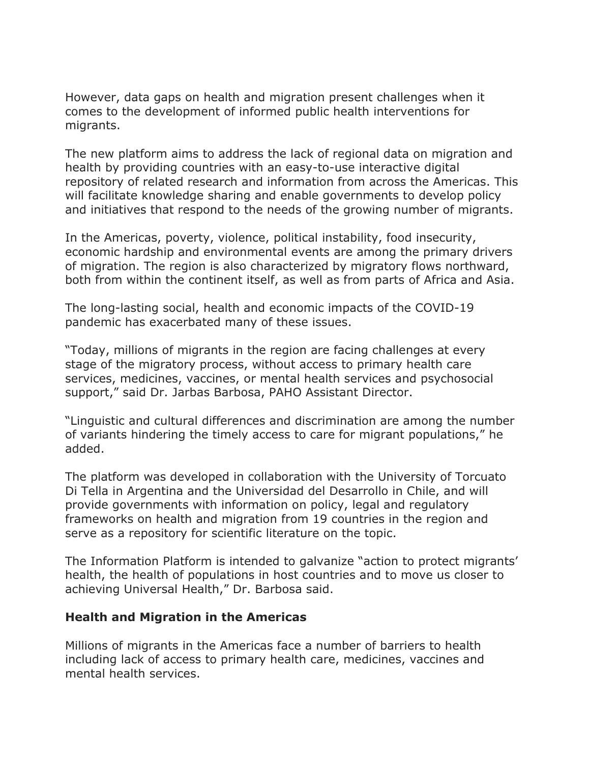However, data gaps on health and migration present challenges when it comes to the development of informed public health interventions for migrants.

The new platform aims to address the lack of regional data on migration and health by providing countries with an easy-to-use interactive digital repository of related research and information from across the Americas. This will facilitate knowledge sharing and enable governments to develop policy and initiatives that respond to the needs of the growing number of migrants.

In the Americas, poverty, violence, political instability, food insecurity, economic hardship and environmental events are among the primary drivers of migration. The region is also characterized by migratory flows northward, both from within the continent itself, as well as from parts of Africa and Asia.

The long-lasting social, health and economic impacts of the COVID-19 pandemic has exacerbated many of these issues.

"Today, millions of migrants in the region are facing challenges at every stage of the migratory process, without access to primary health care services, medicines, vaccines, or mental health services and psychosocial support," said Dr. Jarbas Barbosa, PAHO Assistant Director.

"Linguistic and cultural differences and discrimination are among the number of variants hindering the timely access to care for migrant populations," he added.

The platform was developed in collaboration with the University of Torcuato Di Tella in Argentina and the Universidad del Desarrollo in Chile, and will provide governments with information on policy, legal and regulatory frameworks on health and migration from 19 countries in the region and serve as a repository for scientific literature on the topic.

The Information Platform is intended to galvanize "action to protect migrants' health, the health of populations in host countries and to move us closer to achieving Universal Health," Dr. Barbosa said.

## **Health and Migration in the Americas**

Millions of migrants in the Americas face a number of barriers to health including lack of access to primary health care, medicines, vaccines and mental health services.